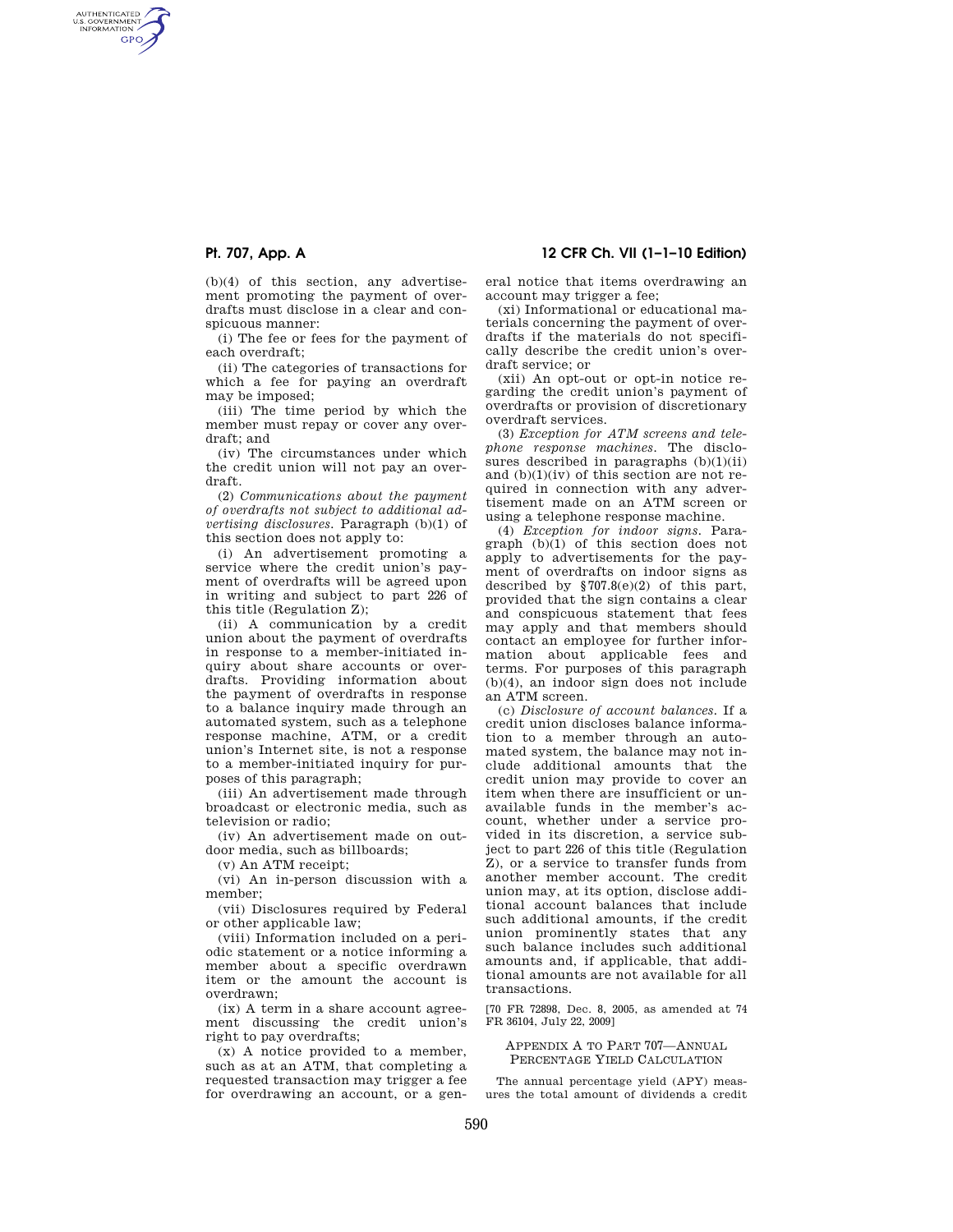AUTHENTICATED<br>U.S. GOVERNMENT<br>INFORMATION **GPO** 

> (b)(4) of this section, any advertisement promoting the payment of overdrafts must disclose in a clear and conspicuous manner:

> (i) The fee or fees for the payment of each overdraft;

> (ii) The categories of transactions for which a fee for paying an overdraft may be imposed;

(iii) The time period by which the member must repay or cover any overdraft; and

(iv) The circumstances under which the credit union will not pay an overdraft.

(2) *Communications about the payment of overdrafts not subject to additional advertising disclosures.* Paragraph (b)(1) of this section does not apply to:

(i) An advertisement promoting a service where the credit union's payment of overdrafts will be agreed upon in writing and subject to part 226 of this title (Regulation Z);

(ii) A communication by a credit union about the payment of overdrafts in response to a member-initiated inquiry about share accounts or overdrafts. Providing information about the payment of overdrafts in response to a balance inquiry made through an automated system, such as a telephone response machine, ATM, or a credit union's Internet site, is not a response to a member-initiated inquiry for purposes of this paragraph;

(iii) An advertisement made through broadcast or electronic media, such as television or radio;

(iv) An advertisement made on outdoor media, such as billboards;

(v) An ATM receipt;

(vi) An in-person discussion with a member;

(vii) Disclosures required by Federal or other applicable law;

(viii) Information included on a periodic statement or a notice informing a member about a specific overdrawn item or the amount the account is overdrawn;

(ix) A term in a share account agreement discussing the credit union's right to pay overdrafts;

(x) A notice provided to a member, such as at an ATM, that completing a requested transaction may trigger a fee for overdrawing an account, or a gen-

**Pt. 707, App. A 12 CFR Ch. VII (1–1–10 Edition)** 

eral notice that items overdrawing an account may trigger a fee;

(xi) Informational or educational materials concerning the payment of overdrafts if the materials do not specifically describe the credit union's overdraft service; or

(xii) An opt-out or opt-in notice regarding the credit union's payment of overdrafts or provision of discretionary overdraft services.

(3) *Exception for ATM screens and telephone response machines.* The disclosures described in paragraphs (b)(1)(ii) and  $(b)(1)(iv)$  of this section are not required in connection with any advertisement made on an ATM screen or using a telephone response machine.

(4) *Exception for indoor signs.* Paragraph (b)(1) of this section does not apply to advertisements for the payment of overdrafts on indoor signs as described by  $$707.8(e)(2)$  of this part, provided that the sign contains a clear and conspicuous statement that fees may apply and that members should contact an employee for further information about applicable fees and terms. For purposes of this paragraph (b)(4), an indoor sign does not include an ATM screen.

(c) *Disclosure of account balances.* If a credit union discloses balance information to a member through an automated system, the balance may not include additional amounts that the credit union may provide to cover an item when there are insufficient or unavailable funds in the member's account, whether under a service provided in its discretion, a service subject to part 226 of this title (Regulation Z), or a service to transfer funds from another member account. The credit union may, at its option, disclose additional account balances that include such additional amounts, if the credit union prominently states that any such balance includes such additional amounts and, if applicable, that additional amounts are not available for all transactions.

[70 FR 72898, Dec. 8, 2005, as amended at 74 FR 36104, July 22, 2009]

APPENDIX A TO PART 707—ANNUAL PERCENTAGE YIELD CALCULATION

The annual percentage yield (APY) measures the total amount of dividends a credit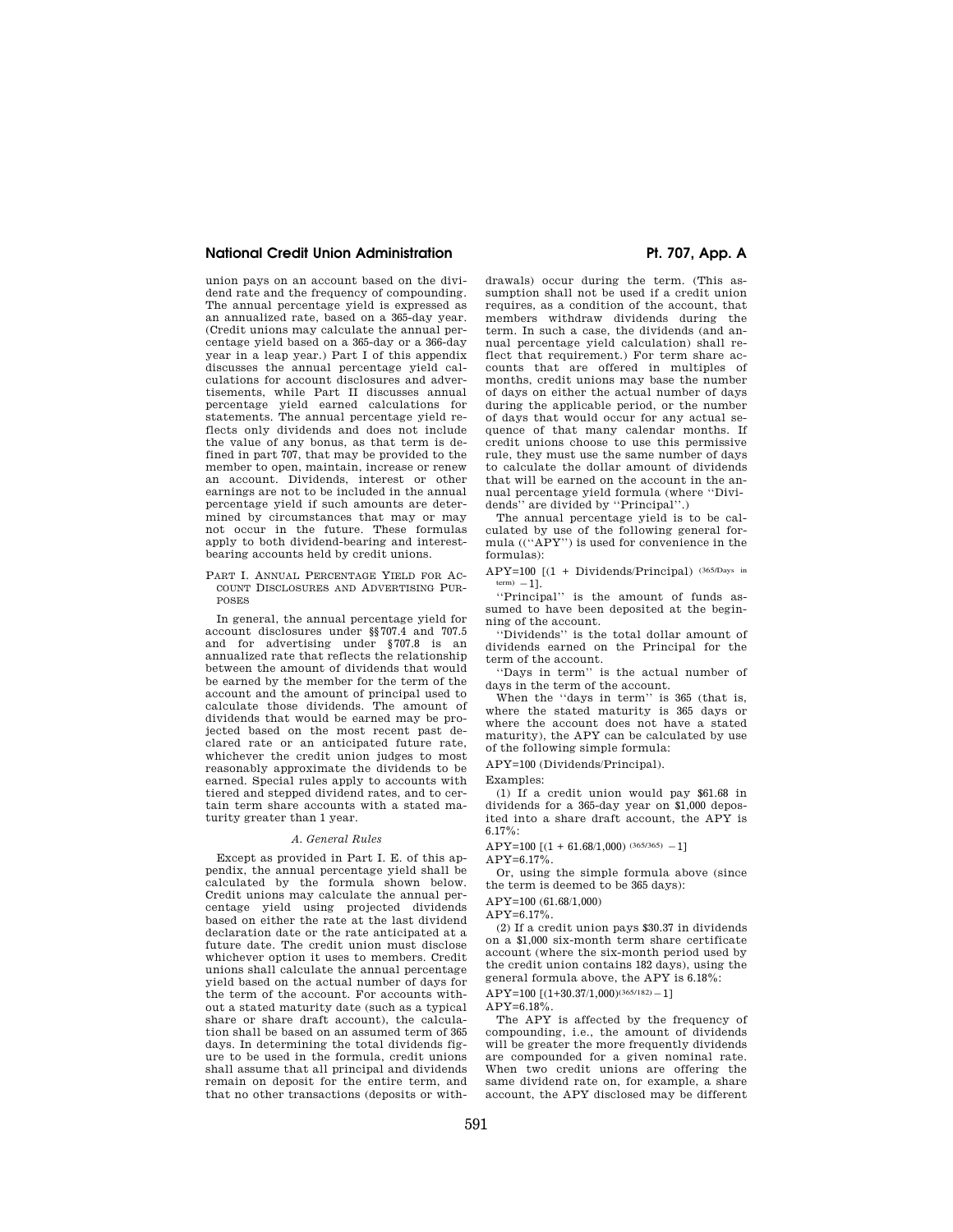## **National Credit Union Administration Pt. 707, App. A**

union pays on an account based on the dividend rate and the frequency of compounding. The annual percentage yield is expressed as an annualized rate, based on a 365-day year. (Credit unions may calculate the annual percentage yield based on a 365-day or a 366-day year in a leap year.) Part I of this appendix discusses the annual percentage yield calculations for account disclosures and advertisements, while Part II discusses annual percentage yield earned calculations for statements. The annual percentage yield reflects only dividends and does not include the value of any bonus, as that term is defined in part 707, that may be provided to the member to open, maintain, increase or renew an account. Dividends, interest or other earnings are not to be included in the annual percentage yield if such amounts are determined by circumstances that may or may not occur in the future. These formulas apply to both dividend-bearing and interestbearing accounts held by credit unions.

PART I. ANNUAL PERCENTAGE YIELD FOR AC-COUNT DISCLOSURES AND ADVERTISING PUR-POSES

In general, the annual percentage yield for account disclosures under §§707.4 and 707.5 and for advertising under §707.8 is an annualized rate that reflects the relationship between the amount of dividends that would be earned by the member for the term of the account and the amount of principal used to calculate those dividends. The amount of dividends that would be earned may be projected based on the most recent past declared rate or an anticipated future rate, whichever the credit union judges to most reasonably approximate the dividends to be earned. Special rules apply to accounts with tiered and stepped dividend rates, and to certain term share accounts with a stated maturity greater than 1 year.

#### *A. General Rules*

Except as provided in Part I. E. of this appendix, the annual percentage yield shall be calculated by the formula shown below. Credit unions may calculate the annual percentage yield using projected dividends based on either the rate at the last dividend declaration date or the rate anticipated at a future date. The credit union must disclose whichever option it uses to members. Credit unions shall calculate the annual percentage yield based on the actual number of days for the term of the account. For accounts without a stated maturity date (such as a typical share or share draft account), the calculation shall be based on an assumed term of 365 days. In determining the total dividends figure to be used in the formula, credit unions shall assume that all principal and dividends remain on deposit for the entire term, and that no other transactions (deposits or with-

drawals) occur during the term. (This assumption shall not be used if a credit union requires, as a condition of the account, that members withdraw dividends during the term. In such a case, the dividends (and annual percentage yield calculation) shall reflect that requirement.) For term share accounts that are offered in multiples of months, credit unions may base the number of days on either the actual number of days during the applicable period, or the number of days that would occur for any actual sequence of that many calendar months. If credit unions choose to use this permissive rule, they must use the same number of days to calculate the dollar amount of dividends that will be earned on the account in the annual percentage yield formula (where ''Dividends'' are divided by ''Principal''.)

The annual percentage yield is to be calculated by use of the following general formula ((''APY'') is used for convenience in the formulas):

APY=100 [(1 + Dividends/Principal) (365/Days in  $term) -1$ ].

''Principal'' is the amount of funds assumed to have been deposited at the beginning of the account.

''Dividends'' is the total dollar amount of dividends earned on the Principal for the term of the account.

''Days in term'' is the actual number of days in the term of the account.

When the ''days in term'' is 365 (that is, where the stated maturity is 365 days or where the account does not have a stated maturity), the APY can be calculated by use of the following simple formula:

APY=100 (Dividends/Principal).

Examples:

(1) If a credit union would pay \$61.68 in dividends for a 365-day year on \$1,000 deposited into a share draft account, the APY is 6.17%:

APY=100  $[(1 + 61.68/1,000)$  (365/365) -1]

 $APY=6.17\%$ .

Or, using the simple formula above (since the term is deemed to be 365 days):

 $APY=100(61.68/1,000)$ 

 $APY=6.17\%$ .

(2) If a credit union pays \$30.37 in dividends on a \$1,000 six-month term share certificate account (where the six-month period used by the credit union contains 182 days), using the general formula above, the APY is 6.18%:

 $APY=100 [(1+30.37/1,000)^{(365/182)}-1]$  $A$  PY=6.18%

The APY is affected by the frequency of compounding, i.e., the amount of dividends will be greater the more frequently dividends are compounded for a given nominal rate. When two credit unions are offering the same dividend rate on, for example, a share account, the APY disclosed may be different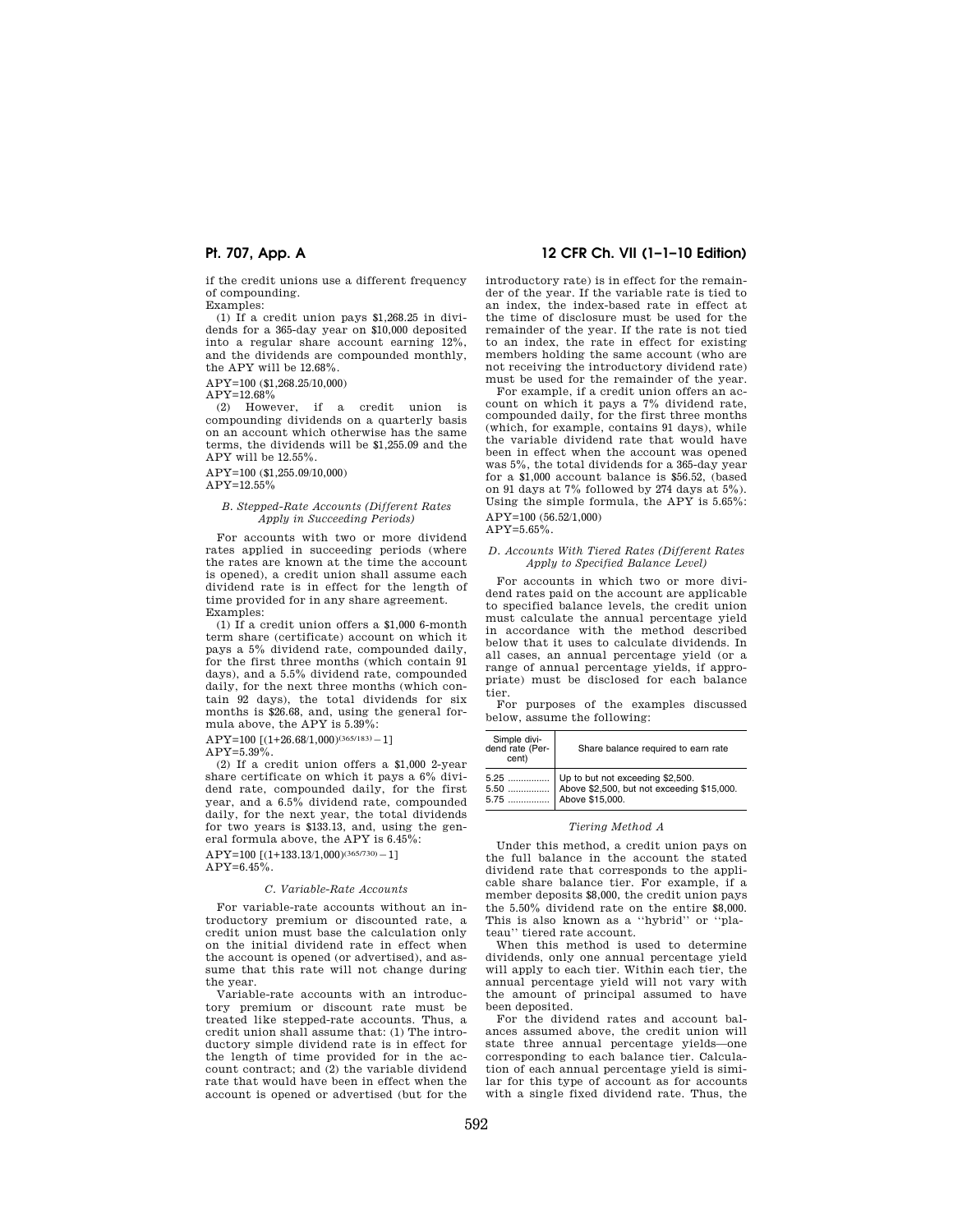if the credit unions use a different frequency of compounding.

Examples:

(1) If a credit union pays \$1,268.25 in dividends for a 365-day year on \$10,000 deposited into a regular share account earning 12%, and the dividends are compounded monthly, the APY will be 12.68%.

APY=100 (\$1,268.25/10,000)

 $APY=12.68\%$ <br>(2) However.

if a credit union is compounding dividends on a quarterly basis on an account which otherwise has the same terms, the dividends will be \$1,255.09 and the APY will be 12.55%.

APY=100 (\$1,255.09/10,000) APY=12.55%

### *B. Stepped-Rate Accounts (Different Rates Apply in Succeeding Periods)*

For accounts with two or more dividend rates applied in succeeding periods (where the rates are known at the time the account is opened), a credit union shall assume each dividend rate is in effect for the length of time provided for in any share agreement. Examples:

(1) If a credit union offers a \$1,000 6-month term share (certificate) account on which it pays a 5% dividend rate, compounded daily, for the first three months (which contain 91 days), and a 5.5% dividend rate, compounded daily, for the next three months (which contain 92 days), the total dividends for six months is \$26.68, and, using the general formula above, the APY is 5.39%:

 $APY=100$  [(1+26.68/1,000)<sup>(365/183)</sup> - 1]

 $APY=5.39\%$ .

(2) If a credit union offers a \$1,000 2-year share certificate on which it pays a 6% dividend rate, compounded daily, for the first year, and a 6.5% dividend rate, compounded daily, for the next year, the total dividends for two years is \$133.13, and, using the general formula above, the APY is 6.45%:

 $APY=100 [(1+133.13/1,000)^{(365/730)}-1]$  $APY=6.45\%$ .

# *C. Variable-Rate Accounts*

For variable-rate accounts without an introductory premium or discounted rate, a credit union must base the calculation only on the initial dividend rate in effect when the account is opened (or advertised), and assume that this rate will not change during the year.

Variable-rate accounts with an introductory premium or discount rate must be treated like stepped-rate accounts. Thus, a credit union shall assume that: (1) The introductory simple dividend rate is in effect for the length of time provided for in the account contract; and (2) the variable dividend rate that would have been in effect when the account is opened or advertised (but for the

## **Pt. 707, App. A 12 CFR Ch. VII (1–1–10 Edition)**

introductory rate) is in effect for the remainder of the year. If the variable rate is tied to an index, the index-based rate in effect at the time of disclosure must be used for the remainder of the year. If the rate is not tied to an index, the rate in effect for existing members holding the same account (who are not receiving the introductory dividend rate) must be used for the remainder of the year.

For example, if a credit union offers an account on which it pays a 7% dividend rate, compounded daily, for the first three months (which, for example, contains 91 days), while the variable dividend rate that would have been in effect when the account was opened was 5%, the total dividends for a 365-day year for a \$1,000 account balance is \$56.52, (based on 91 days at 7% followed by 274 days at 5%). Using the simple formula, the APY is 5.65%: APY=100 (56.52/1,000)

 $APY=5.65%$ 

### *D. Accounts With Tiered Rates (Different Rates Apply to Specified Balance Level)*

For accounts in which two or more dividend rates paid on the account are applicable to specified balance levels, the credit union must calculate the annual percentage yield in accordance with the method described below that it uses to calculate dividends. In all cases, an annual percentage yield (or a range of annual percentage yields, if appropriate) must be disclosed for each balance tier.

For purposes of the examples discussed below, assume the following:

| Simple divi-<br>dend rate (Per-<br>cent) | Share balance required to earn rate                                                                                       |
|------------------------------------------|---------------------------------------------------------------------------------------------------------------------------|
|                                          | 5.25    Up to but not exceeding \$2,500.<br>5.50    Above \$2,500, but not exceeding \$15,000.<br>5.75    Above \$15,000. |

#### *Tiering Method A*

Under this method, a credit union pays on the full balance in the account the stated dividend rate that corresponds to the applicable share balance tier. For example, if a member deposits \$8,000, the credit union pays the 5.50% dividend rate on the entire \$8,000. This is also known as a ''hybrid'' or ''plateau'' tiered rate account.

When this method is used to determine dividends, only one annual percentage yield will apply to each tier. Within each tier, the annual percentage yield will not vary with the amount of principal assumed to have been deposited.

For the dividend rates and account balances assumed above, the credit union will state three annual percentage yields—one corresponding to each balance tier. Calculation of each annual percentage yield is similar for this type of account as for accounts with a single fixed dividend rate. Thus, the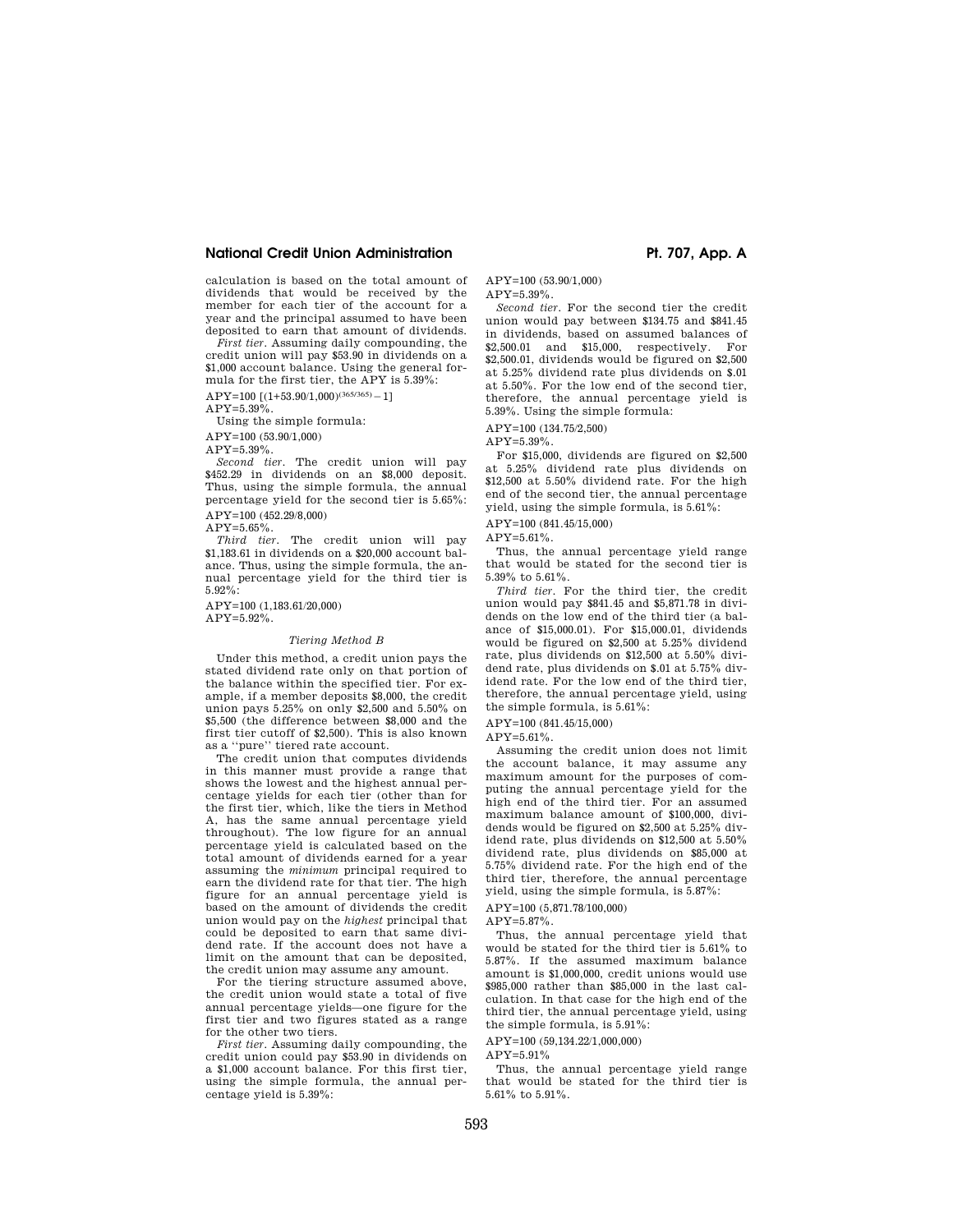## **National Credit Union Administration And Access 2008 Pt. 707, App. A**

calculation is based on the total amount of dividends that would be received by the member for each tier of the account for a year and the principal assumed to have been deposited to earn that amount of dividends.

*First tier.* Assuming daily compounding, the credit union will pay \$53.90 in dividends on a \$1,000 account balance. Using the general formula for the first tier, the APY is 5.39%:

 $APY=100 [(1+53.90/1,000)^{(365/365)}-1]$ 

 $APY=5.39\%$ .

Using the simple formula:

APY=100 (53.90/1,000)

 $APY=5.39\%$ 

*Second tier.* The credit union will pay \$452.29 in dividends on an \$8,000 deposit. Thus, using the simple formula, the annual percentage yield for the second tier is 5.65%: APY=100 (452.29/8,000)

 $\begin{tabular}{c} \bf APY=5.65\%\\ \bf Third\ \textit{tier}. \end{tabular}$ The credit union will pay \$1,183.61 in dividends on a \$20,000 account balance. Thus, using the simple formula, the annual percentage yield for the third tier is

 $5.92\%$ APY=100 (1,183.61/20,000)

 $APY=5.92\%$ .

### *Tiering Method B*

Under this method, a credit union pays the stated dividend rate only on that portion of the balance within the specified tier. For example, if a member deposits \$8,000, the credit union pays 5.25% on only \$2,500 and 5.50% on \$5,500 (the difference between \$8,000 and the first tier cutoff of \$2,500). This is also known as a ''pure'' tiered rate account.

The credit union that computes dividends in this manner must provide a range that shows the lowest and the highest annual percentage yields for each tier (other than for the first tier, which, like the tiers in Method A, has the same annual percentage yield throughout). The low figure for an annual percentage yield is calculated based on the total amount of dividends earned for a year assuming the *minimum* principal required to earn the dividend rate for that tier. The high figure for an annual percentage yield is based on the amount of dividends the credit union would pay on the *highest* principal that could be deposited to earn that same dividend rate. If the account does not have a limit on the amount that can be deposited, the credit union may assume any amount.

For the tiering structure assumed above, the credit union would state a total of five annual percentage yields—one figure for the first tier and two figures stated as a range for the other two tiers.

*First tier.* Assuming daily compounding, the credit union could pay \$53.90 in dividends on a \$1,000 account balance. For this first tier, using the simple formula, the annual percentage yield is 5.39%:

APY=100 (53.90/1,000)

APY=5.39%.

*Second tier.* For the second tier the credit union would pay between \$134.75 and \$841.45 in dividends, based on assumed balances of \$2,500.01 and \$15,000, respectively. For \$2,500.01, dividends would be figured on \$2,500 at 5.25% dividend rate plus dividends on \$.01 at 5.50%. For the low end of the second tier, therefore, the annual percentage yield is 5.39%. Using the simple formula:

APY=100 (134.75/2,500)

 $APY=5.39%$ 

For \$15,000, dividends are figured on \$2,500 at 5.25% dividend rate plus dividends on \$12,500 at 5.50% dividend rate. For the high end of the second tier, the annual percentage yield, using the simple formula, is 5.61%:

APY=100 (841.45/15,000)

 $APY=5.61\%$ .

Thus, the annual percentage yield range that would be stated for the second tier is 5.39% to 5.61%.

*Third tier.* For the third tier, the credit union would pay \$841.45 and \$5,871.78 in dividends on the low end of the third tier (a balance of \$15,000.01). For \$15,000.01, dividends would be figured on \$2,500 at 5.25% dividend rate, plus dividends on \$12,500 at 5.50% dividend rate, plus dividends on \$.01 at 5.75% dividend rate. For the low end of the third tier, therefore, the annual percentage yield, using the simple formula, is 5.61%:

APY=100 (841.45/15,000)

 $APY=5.61\%$ 

Assuming the credit union does not limit the account balance, it may assume any maximum amount for the purposes of computing the annual percentage yield for the high end of the third tier. For an assumed maximum balance amount of \$100,000, dividends would be figured on \$2,500 at 5.25% dividend rate, plus dividends on \$12,500 at 5.50% dividend rate, plus dividends on \$85,000 at 5.75% dividend rate. For the high end of the third tier, therefore, the annual percentage yield, using the simple formula, is 5.87%:

APY=100 (5,871.78/100,000)

 $APV = 5.87\%$ 

Thus, the annual percentage yield that would be stated for the third tier is 5.61% to 5.87%. If the assumed maximum balance amount is \$1,000,000, credit unions would use \$985,000 rather than \$85,000 in the last calculation. In that case for the high end of the third tier, the annual percentage yield, using the simple formula, is 5.91%:

APY=100 (59,134.22/1,000,000)

APY=5.91%

Thus, the annual percentage yield range that would be stated for the third tier is 5.61% to 5.91%.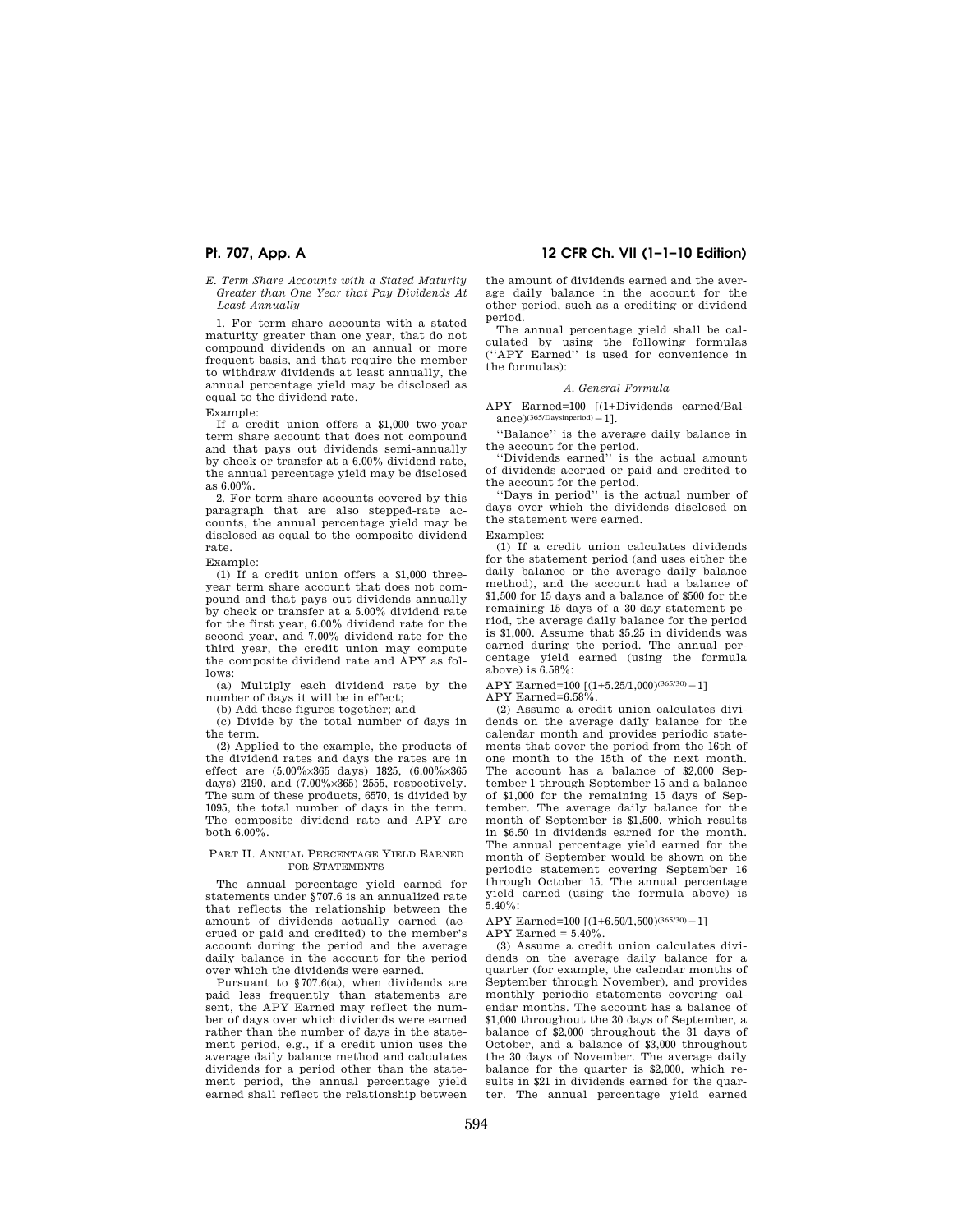*E. Term Share Accounts with a Stated Maturity Greater than One Year that Pay Dividends At Least Annually* 

1. For term share accounts with a stated maturity greater than one year, that do not compound dividends on an annual or more frequent basis, and that require the member to withdraw dividends at least annually, the annual percentage yield may be disclosed as equal to the dividend rate.

Example:

If a credit union offers a \$1,000 two-year term share account that does not compound and that pays out dividends semi-annually by check or transfer at a 6.00% dividend rate, the annual percentage yield may be disclosed as  $6.00\%$ .

2. For term share accounts covered by this paragraph that are also stepped-rate accounts, the annual percentage yield may be disclosed as equal to the composite dividend rate.

Example:

(1) If a credit union offers a \$1,000 threeyear term share account that does not compound and that pays out dividends annually by check or transfer at a 5.00% dividend rate for the first year, 6.00% dividend rate for the second year, and 7.00% dividend rate for the third year, the credit union may compute the composite dividend rate and APY as follows:

(a) Multiply each dividend rate by the number of days it will be in effect;

(b) Add these figures together; and

(c) Divide by the total number of days in the term.

(2) Applied to the example, the products of the dividend rates and days the rates are in effect are (5.00%×365 days) 1825, (6.00%×365 days) 2190, and (7.00%×365) 2555, respectively. The sum of these products, 6570, is divided by 1095, the total number of days in the term. The composite dividend rate and APY are both 6.00%.

### PART II. ANNUAL PERCENTAGE YIELD EARNED FOR STATEMENTS

The annual percentage yield earned for statements under §707.6 is an annualized rate that reflects the relationship between the amount of dividends actually earned (accrued or paid and credited) to the member's account during the period and the average daily balance in the account for the period over which the dividends were earned.

Pursuant to §707.6(a), when dividends are paid less frequently than statements are sent, the APY Earned may reflect the number of days over which dividends were earned rather than the number of days in the statement period, e.g., if a credit union uses the average daily balance method and calculates dividends for a period other than the statement period, the annual percentage yield earned shall reflect the relationship between

## **Pt. 707, App. A 12 CFR Ch. VII (1–1–10 Edition)**

the amount of dividends earned and the average daily balance in the account for the other period, such as a crediting or dividend period.

The annual percentage yield shall be calculated by using the following formulas (''APY Earned'' is used for convenience in the formulas):

### *A. General Formula*

APY Earned=100 [(1+Dividends earned/Bal- $\text{ance}$ )(365/Daysinperiod) - 1].

''Balance'' is the average daily balance in the account for the period. ''Dividends earned'' is the actual amount

of dividends accrued or paid and credited to the account for the period.

''Days in period'' is the actual number of days over which the dividends disclosed on the statement were earned.

Examples:

(1) If a credit union calculates dividends for the statement period (and uses either the daily balance or the average daily balance method), and the account had a balance of \$1,500 for 15 days and a balance of \$500 for the remaining 15 days of a 30-day statement period, the average daily balance for the period is \$1,000. Assume that \$5.25 in dividends was earned during the period. The annual percentage yield earned (using the formula above) is 6.58%:

APY Earned=100 [(1+5.25/1,000)(365/30) - 1]

APY Earned=6.58%.

(2) Assume a credit union calculates dividends on the average daily balance for the calendar month and provides periodic statements that cover the period from the 16th of one month to the 15th of the next month. The account has a balance of \$2,000 September 1 through September 15 and a balance of \$1,000 for the remaining 15 days of September. The average daily balance for the month of September is \$1,500, which results in \$6.50 in dividends earned for the month. The annual percentage yield earned for the month of September would be shown on the periodic statement covering September 16 through October 15. The annual percentage yield earned (using the formula above) is  $5.40\%$ 

APY Earned=100 [(1+6.50/1,500)(365/30) - 1]

 $APY$  Earned =  $5.40\%$ .

(3) Assume a credit union calculates dividends on the average daily balance for a quarter (for example, the calendar months of September through November), and provides monthly periodic statements covering calendar months. The account has a balance of \$1,000 throughout the 30 days of September, a balance of \$2,000 throughout the 31 days of October, and a balance of \$3,000 throughout the 30 days of November. The average daily balance for the quarter is \$2,000, which results in \$21 in dividends earned for the quarter. The annual percentage yield earned